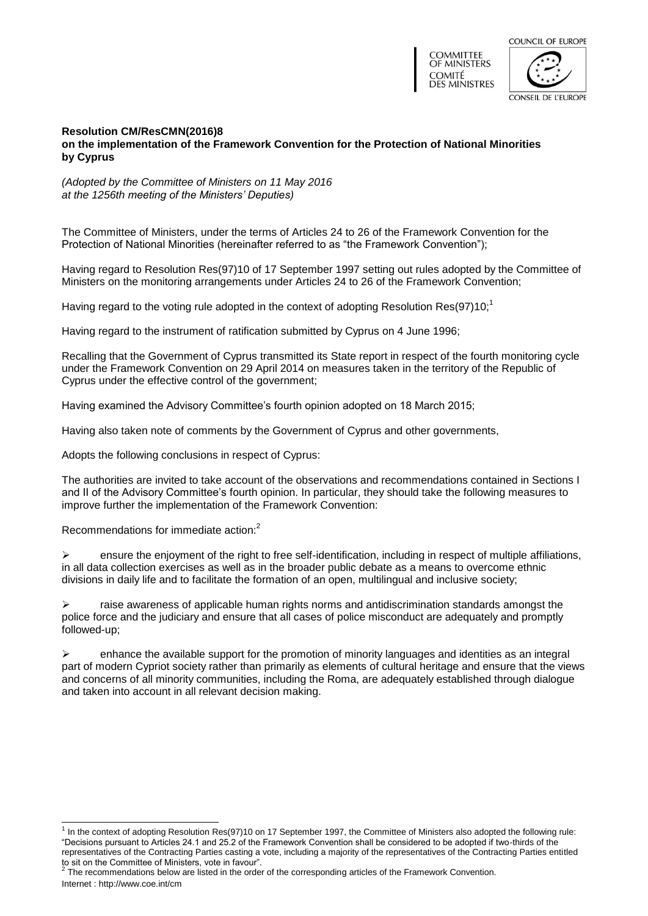



## **Resolution CM/ResCMN(2016)8 on the implementation of the Framework Convention for the Protection of National Minorities by Cyprus**

*(Adopted by the Committee of Ministers on 11 May 2016 at the 1256th meeting of the Ministers' Deputies)*

The Committee of Ministers, under the terms of Articles 24 to 26 of the Framework Convention for the Protection of National Minorities (hereinafter referred to as "the Framework Convention");

Having regard to Resolution [Res\(97\)10](https://search.coe.int/cm/Pages/result_details.aspx?Reference=Res(97)10) of 17 September 1997 setting out rules adopted by the Committee of Ministers on the monitoring arrangements under Articles 24 to 26 of the Framework Convention;

Having regard to the voting rule adopted in the context of adopting Resolution [Res\(97\)10;](https://search.coe.int/cm/Pages/result_details.aspx?Reference=Res(97)10)<sup>1</sup>

Having regard to the instrument of ratification submitted by Cyprus on 4 June 1996;

Recalling that the Government of Cyprus transmitted its State report in respect of the fourth monitoring cycle under the Framework Convention on 29 April 2014 on measures taken in the territory of the Republic of Cyprus under the effective control of the government;

Having examined the Advisory Committee's fourth opinion adopted on 18 March 2015;

Having also taken note of comments by the Government of Cyprus and other governments,

Adopts the following conclusions in respect of Cyprus:

The authorities are invited to take account of the observations and recommendations contained in Sections I and II of the Advisory Committee's fourth opinion. In particular, they should take the following measures to improve further the implementation of the Framework Convention:

Recommendations for immediate action:<sup>2</sup>

l

 $\triangleright$  ensure the enjoyment of the right to free self-identification, including in respect of multiple affiliations, in all data collection exercises as well as in the broader public debate as a means to overcome ethnic divisions in daily life and to facilitate the formation of an open, multilingual and inclusive society;

 $\ge$  raise awareness of applicable human rights norms and antidiscrimination standards amongst the police force and the judiciary and ensure that all cases of police misconduct are adequately and promptly followed-up;

 $\triangleright$  enhance the available support for the promotion of minority languages and identities as an integral part of modern Cypriot society rather than primarily as elements of cultural heritage and ensure that the views and concerns of all minority communities, including the Roma, are adequately established through dialogue and taken into account in all relevant decision making.

<sup>&</sup>lt;sup>1</sup> In the context of adopting Resolution [Res\(97\)10](https://search.coe.int/cm/Pages/result_details.aspx?Reference=Res(97)10) on 17 September 1997, the Committee of Ministers also adopted the following rule: "Decisions pursuant to Articles 24.1 and 25.2 of the Framework Convention shall be considered to be adopted if two-thirds of the representatives of the Contracting Parties casting a vote, including a majority of the representatives of the Contracting Parties entitled

Internet :<http://www.coe.int/cm> to sit on the Committee of Ministers, vote in favour".<br><sup>2</sup> The recommendations below are listed in the order of the corresponding articles of the Framework Convention.